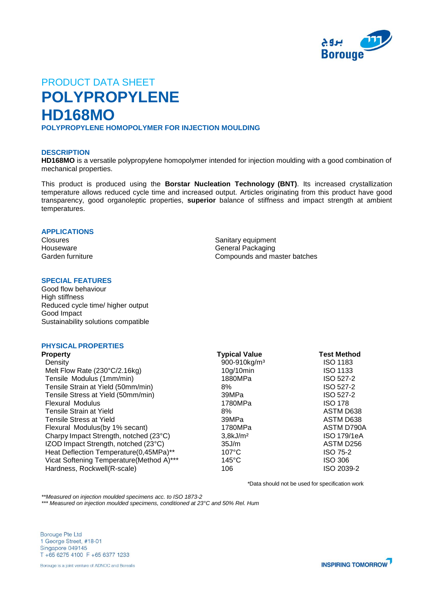

# PRODUCT DATA SHEET **POLYPROPYLENE HD168MO POLYPROPYLENE HOMOPOLYMER FOR INJECTION MOULDING**

## **DESCRIPTION**

**HD168MO** is a versatile polypropylene homopolymer intended for injection moulding with a good combination of mechanical properties.

This product is produced using the **Borstar Nucleation Technology (BNT)**. Its increased crystallization temperature allows reduced cycle time and increased output. Articles originating from this product have good transparency, good organoleptic properties, **superior** balance of stiffness and impact strength at ambient temperatures.

## **APPLICATIONS**

Closures **Sanitary equipment** Houseware **General Packaging** Garden furniture **Compounds and master batches** 

## **SPECIAL FEATURES**

Good flow behaviour High stiffness Reduced cycle time/ higher output Good Impact Sustainability solutions compatible

## **PHYSICAL PROPERTIES**

| <b>Property</b>                          | <b>Typical Value</b>     | <b>Test Method</b> |
|------------------------------------------|--------------------------|--------------------|
| Density                                  | 900-910kg/m <sup>3</sup> | <b>ISO 1183</b>    |
| Melt Flow Rate (230°C/2.16kg)            | 10g/10min                | <b>ISO 1133</b>    |
| Tensile Modulus (1mm/min)                | 1880MPa                  | ISO 527-2          |
| Tensile Strain at Yield (50mm/min)       | 8%                       | ISO 527-2          |
| Tensile Stress at Yield (50mm/min)       | 39MPa                    | ISO 527-2          |
| <b>Flexural Modulus</b>                  | 1780MPa                  | <b>ISO 178</b>     |
| Tensile Strain at Yield                  | 8%                       | ASTM D638          |
| <b>Tensile Stress at Yield</b>           | 39MPa                    | ASTM D638          |
| Flexural Modulus (by 1% secant)          | 1780MPa                  | ASTM D790A         |
| Charpy Impact Strength, notched (23°C)   | 3,8kJ/m <sup>2</sup>     | ISO 179/1eA        |
| IZOD Impact Strength, notched (23°C)     | 35J/m                    | ASTM D256          |
| Heat Deflection Temperature(0,45MPa)**   | $107^{\circ}$ C          | <b>ISO 75-2</b>    |
| Vicat Softening Temperature(Method A)*** | $145^{\circ}$ C          | ISO 306            |
| Hardness, Rockwell(R-scale)              | 106                      | ISO 2039-2         |

*\**Data should not be used for specification work

*\*\*Measured on injection moulded specimens acc. to ISO 1873-2*

*\*\*\* Measured on injection moulded specimens, conditioned at 23°C and 50% Rel. Hum*

**Borouge Pte Ltd** 1 George Street, #18-01 Singapore 049145 T +65 6275 4100 F +65 6377 1233